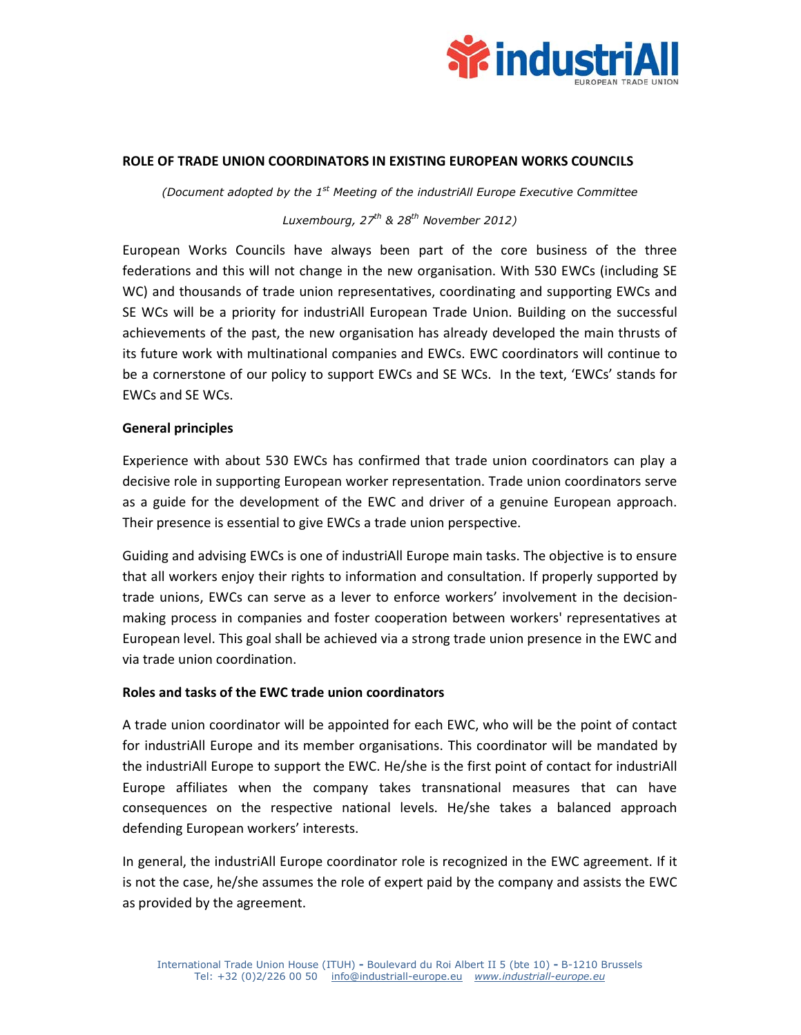

## **ROLE OF TRADE UNION COORDINATORS IN EXISTING EUROPEAN WORKS COUNCILS**

*(Document adopted by the 1st Meeting of the industriAll Europe Executive Committee Luxembourg, 27th & 28th November 2012)* 

European Works Councils have always been part of the core business of the three federations and this will not change in the new organisation. With 530 EWCs (including SE WC) and thousands of trade union representatives, coordinating and supporting EWCs and SE WCs will be a priority for industriAll European Trade Union. Building on the successful achievements of the past, the new organisation has already developed the main thrusts of its future work with multinational companies and EWCs. EWC coordinators will continue to be a cornerstone of our policy to support EWCs and SE WCs. In the text, 'EWCs' stands for EWCs and SE WCs.

## **General principles**

Experience with about 530 EWCs has confirmed that trade union coordinators can play a decisive role in supporting European worker representation. Trade union coordinators serve as a guide for the development of the EWC and driver of a genuine European approach. Their presence is essential to give EWCs a trade union perspective.

Guiding and advising EWCs is one of industriAll Europe main tasks. The objective is to ensure that all workers enjoy their rights to information and consultation. If properly supported by trade unions, EWCs can serve as a lever to enforce workers' involvement in the decisionmaking process in companies and foster cooperation between workers' representatives at European level. This goal shall be achieved via a strong trade union presence in the EWC and via trade union coordination.

## **Roles and tasks of the EWC trade union coordinators**

A trade union coordinator will be appointed for each EWC, who will be the point of contact for industriAll Europe and its member organisations. This coordinator will be mandated by the industriAll Europe to support the EWC. He/she is the first point of contact for industriAll Europe affiliates when the company takes transnational measures that can have consequences on the respective national levels. He/she takes a balanced approach defending European workers' interests.

In general, the industriAll Europe coordinator role is recognized in the EWC agreement. If it is not the case, he/she assumes the role of expert paid by the company and assists the EWC as provided by the agreement.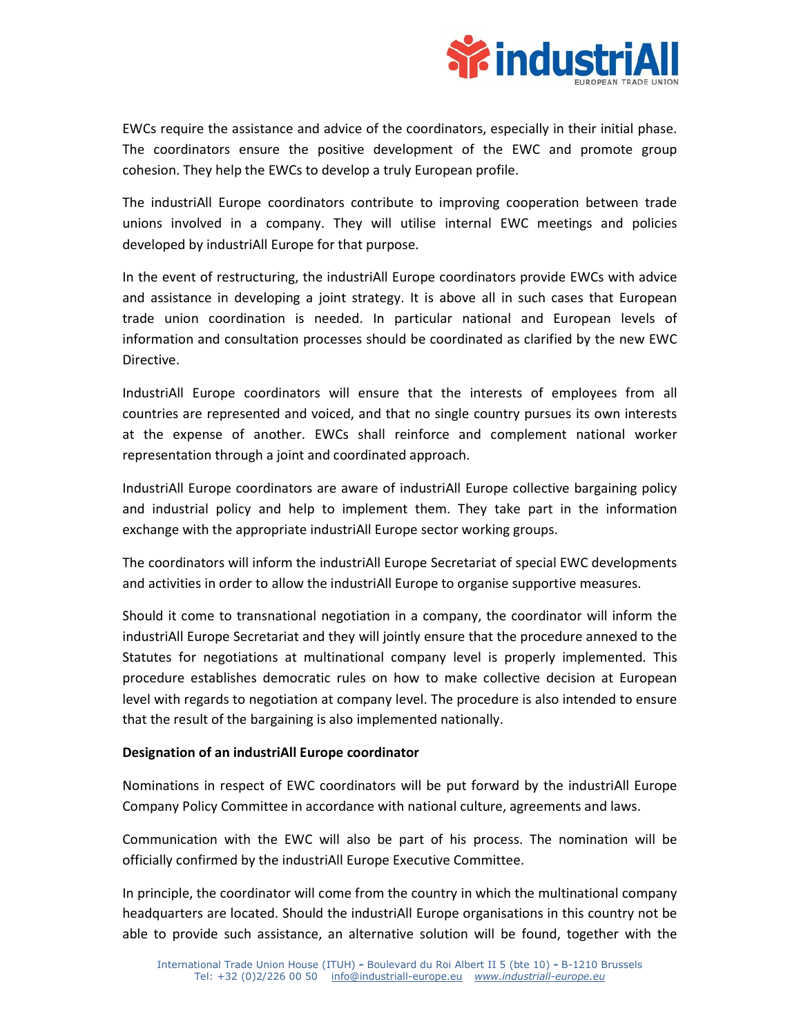

EWCs require the assistance and advice of the coordinators, especially in their initial phase. The coordinators ensure the positive development of the EWC and promote group cohesion. They help the EWCs to develop a truly European profile.

The industriAll Europe coordinators contribute to improving cooperation between trade unions involved in a company. They will utilise internal EWC meetings and policies developed by industriAll Europe for that purpose.

In the event of restructuring, the industriAll Europe coordinators provide EWCs with advice and assistance in developing a joint strategy. It is above all in such cases that European trade union coordination is needed. In particular national and European levels of information and consultation processes should be coordinated as clarified by the new EWC Directive.

IndustriAll Europe coordinators will ensure that the interests of employees from all countries are represented and voiced, and that no single country pursues its own interests at the expense of another. EWCs shall reinforce and complement national worker representation through a joint and coordinated approach.

IndustriAll Europe coordinators are aware of industriAll Europe collective bargaining policy and industrial policy and help to implement them. They take part in the information exchange with the appropriate industriAll Europe sector working groups.

The coordinators will inform the industriAll Europe Secretariat of special EWC developments and activities in order to allow the industriAll Europe to organise supportive measures.

Should it come to transnational negotiation in a company, the coordinator will inform the industriAll Europe Secretariat and they will jointly ensure that the procedure annexed to the Statutes for negotiations at multinational company level is properly implemented. This procedure establishes democratic rules on how to make collective decision at European level with regards to negotiation at company level. The procedure is also intended to ensure that the result of the bargaining is also implemented nationally.

# **Designation of an industriAll Europe coordinator**

Nominations in respect of EWC coordinators will be put forward by the industriAll Europe Company Policy Committee in accordance with national culture, agreements and laws.

Communication with the EWC will also be part of his process. The nomination will be officially confirmed by the industriAll Europe Executive Committee.

In principle, the coordinator will come from the country in which the multinational company headquarters are located. Should the industriAll Europe organisations in this country not be able to provide such assistance, an alternative solution will be found, together with the